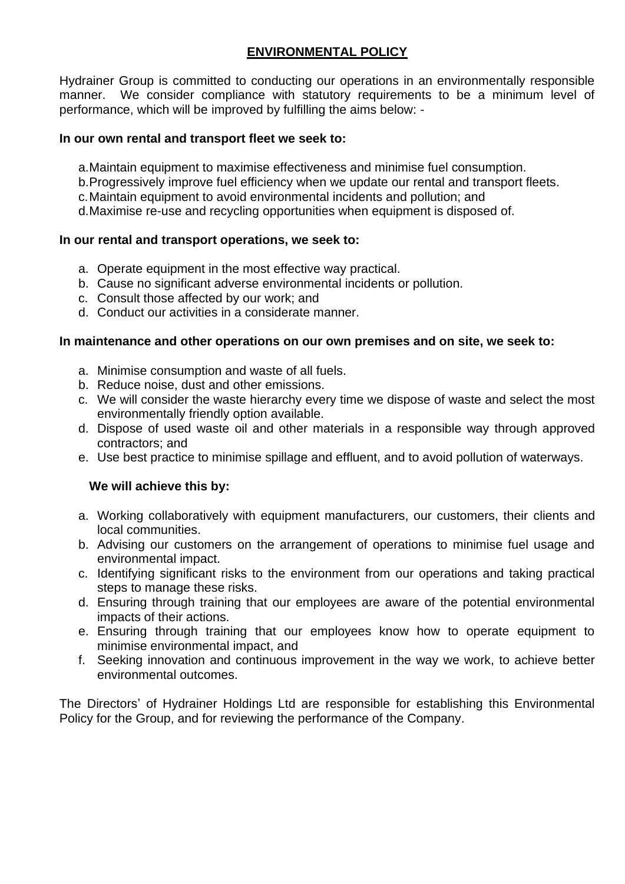# **ENVIRONMENTAL POLICY**

Hydrainer Group is committed to conducting our operations in an environmentally responsible manner. We consider compliance with statutory requirements to be a minimum level of performance, which will be improved by fulfilling the aims below: -

## **In our own rental and transport fleet we seek to:**

- a.Maintain equipment to maximise effectiveness and minimise fuel consumption.
- b.Progressively improve fuel efficiency when we update our rental and transport fleets.
- c.Maintain equipment to avoid environmental incidents and pollution; and
- d.Maximise re-use and recycling opportunities when equipment is disposed of.

## **In our rental and transport operations, we seek to:**

- a. Operate equipment in the most effective way practical.
- b. Cause no significant adverse environmental incidents or pollution.
- c. Consult those affected by our work; and
- d. Conduct our activities in a considerate manner.

## **In maintenance and other operations on our own premises and on site, we seek to:**

- a. Minimise consumption and waste of all fuels.
- b. Reduce noise, dust and other emissions.
- c. We will consider the waste hierarchy every time we dispose of waste and select the most environmentally friendly option available.
- d. Dispose of used waste oil and other materials in a responsible way through approved contractors; and
- e. Use best practice to minimise spillage and effluent, and to avoid pollution of waterways.

## **We will achieve this by:**

- a. Working collaboratively with equipment manufacturers, our customers, their clients and local communities.
- b. Advising our customers on the arrangement of operations to minimise fuel usage and environmental impact.
- c. Identifying significant risks to the environment from our operations and taking practical steps to manage these risks.
- d. Ensuring through training that our employees are aware of the potential environmental impacts of their actions.
- e. Ensuring through training that our employees know how to operate equipment to minimise environmental impact, and
- f. Seeking innovation and continuous improvement in the way we work, to achieve better environmental outcomes.

The Directors' of Hydrainer Holdings Ltd are responsible for establishing this Environmental Policy for the Group, and for reviewing the performance of the Company.